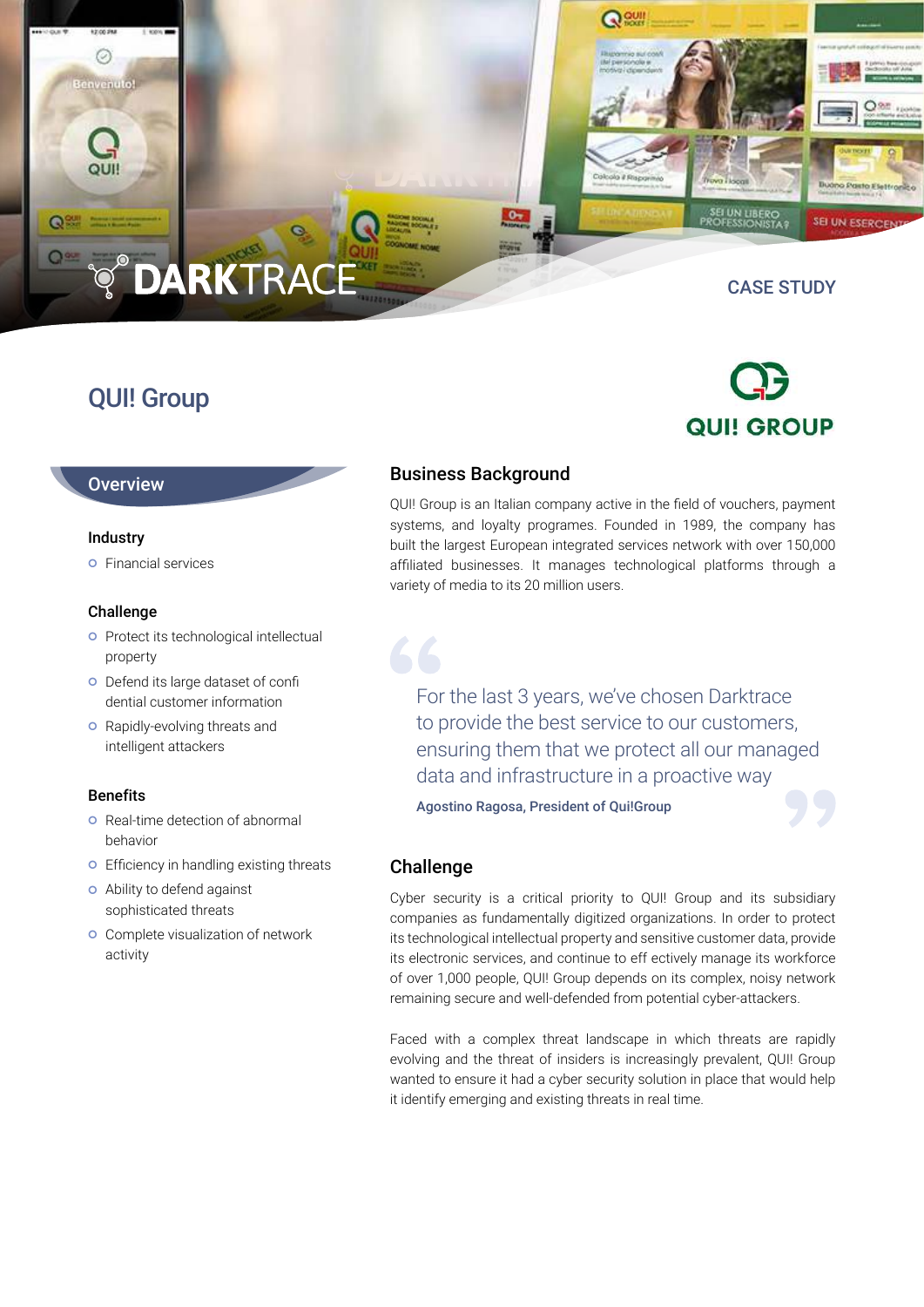# **DARKTRAC**

### QUI! Group

CASE STUDY

SEI UN ESERCEI

## **QUI! GROUP**

#### **Overview**

#### Industry

 $\circ$ Benvenuto!

 $\mathbf Q$ 

**O** Financial services

#### Challenge

- **o** Protect its technological intellectual property
- Defend its large dataset of confi dential customer information
- **o** Rapidly-evolving threats and intelligent attackers

#### **Benefits**

- **O** Real-time detection of abnormal behavior
- **o** Efficiency in handling existing threats
- Ability to defend against sophisticated threats
- **o** Complete visualization of network activity

### Business Background

QUI! Group is an Italian company active in the field of vouchers, payment systems, and loyalty programes. Founded in 1989, the company has built the largest European integrated services network with over 150,000 affiliated businesses. It manages technological platforms through a variety of media to its 20 million users.

Qey

For the last 3 years, we've chosen Darktrace to provide the best service to our customers, ensuring them that we protect all our managed data and infrastructure in a proactive way

Agostino Ragosa, President of Qui!Group



#### Challenge

Cyber security is a critical priority to QUI! Group and its subsidiary companies as fundamentally digitized organizations. In order to protect its technological intellectual property and sensitive customer data, provide its electronic services, and continue to eff ectively manage its workforce of over 1,000 people, QUI! Group depends on its complex, noisy network remaining secure and well-defended from potential cyber-attackers.

Faced with a complex threat landscape in which threats are rapidly evolving and the threat of insiders is increasingly prevalent, QUI! Group wanted to ensure it had a cyber security solution in place that would help it identify emerging and existing threats in real time.